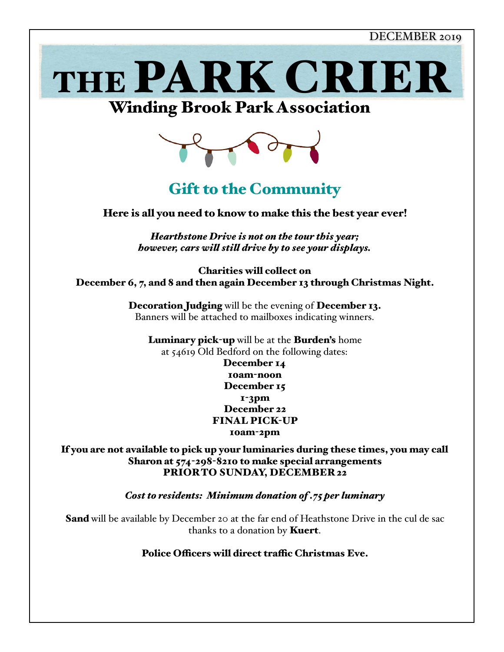

# Winding Brook Park Association



# Gift to the Community

Here is all you need to know to make this the best year ever!

*Hearthstone Drive is not on the tour this year; however, cars wil stil drive by to see your displays.*

Charities will collect on December 6, 7, and 8 and then again December 13 through Christmas Night.

> Decoration Judging will be the evening of December 13. Banners will be attached to mailboxes indicating winners.

Luminary pick-up will be at the Burden's home at 54619 Old Bedford on the following dates: December 14 10am-noon December 15 1-3pm December 22 FINAL PICK-UP 10am-2pm

 If you are not available to pick up your luminaries during these times, you may call Sharon at 574-298-8210 to make special arrangements PRIOR TO SUNDAY, DECEMBER 22

*Cost to residents: Minimum donation of .75 per luminary*

**Sand** will be available by December 20 at the far end of Heathstone Drive in the cul de sac thanks to a donation by Kuert.

Police Officers will direct traffic Christmas Eve.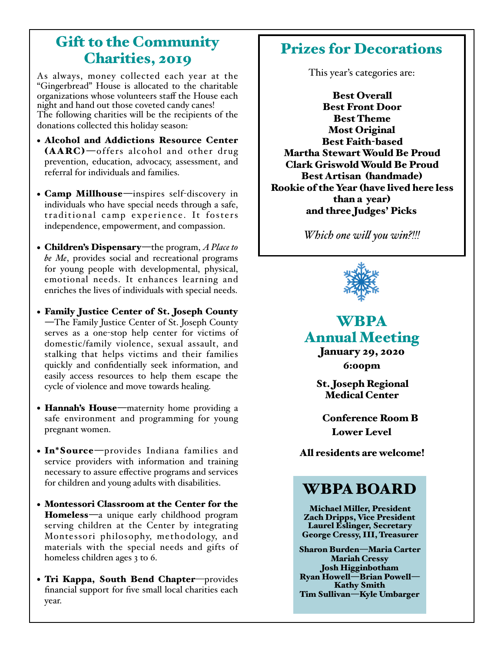# Gift to the Community Charities, 2019

As always, money collected each year at the "Gingerbread" House is allocated to the charitable organizations whose volunteers staff the House each night and hand out those coveted candy canes! The following charities will be the recipients of the donations collected this holiday season:

- Alcohol and Addictions Resource Center  $(AARC)$ —offers alcohol and other drug prevention, education, advocacy, assessment, and referral for individuals and families.
- Camp Millhouse—inspires self-discovery in individuals who have special needs through a safe, traditional camp experience. It fosters independence, empowerment, and compassion.
- Children's Dispensary—the program, *A Place to be Me*, provides social and recreational programs for young people with developmental, physical, emotional needs. It enhances learning and enriches the lives of individuals with special needs.
- Family Justice Center of St. Joseph County —The Family Justice Center of St. Joseph County serves as a one-stop help center for victims of domestic/family violence, sexual assault, and stalking that helps victims and their families quickly and confidentially seek information, and easily access resources to help them escape the cycle of violence and move towards healing.
- Hannah's House—maternity home providing a safe environment and programming for young pregnant women.
- In\*Source—provides Indiana families and service providers with information and training necessary to assure effective programs and services for children and young adults with disabilities.
- Montessori Classroom at the Center for the Homeless—a unique early childhood program serving children at the Center by integrating Montessori philosophy, methodology, and materials with the special needs and gifts of homeless children ages 3 to 6.
- Tri Kappa, South Bend Chapter—provides financial support for five small local charities each year.

# Prizes for Decorations

This year's categories are:

Best Overall Best Front Door Best Theme Most Original Best Faith-based Martha Stewart Would Be Proud Clark Griswold Would Be Proud Best Artisan (handmade) Rookie of the Year (have lived here less than a year) and three Judges' Picks

*Which one wil you win?!!!*



### WBPA Annual Meeting

January 29, 2020 6:00pm

St. Joseph Regional Medical Center

 Conference Room B Lower Level

All residents are welcome!

# WBPA BOARD

Michael Miller, President Zach Dripps, Vice President Laurel Eslinger, Secretary George Cressy, III, Treasurer

Sharon Burden—Maria Carter Mariah Cressy Josh Higginbotham Ryan Howell—Brian Powell— Kathy Smith Tim Sullivan—Kyle Umbarger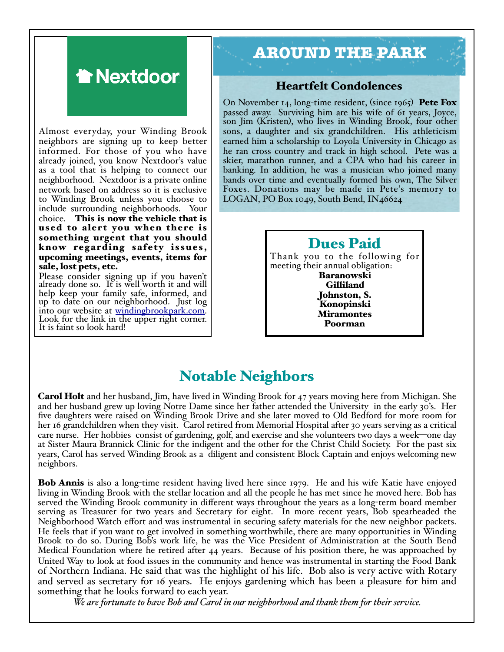

Almost everyday, your Winding Brook neighbors are signing up to keep better informed. For those of you who have already joined, you know Nextdoor's value as a tool that is helping to connect our neighborhood. Nextdoor is a private online network based on address so it is exclusive to Winding Brook unless you choose to include surrounding neighborhoods. Your choice. This is now the vehicle that is used to alert you when there is something urgent that you should know regarding safety issues, upcoming meetings, events, items for sale, lost pets, etc.

Please consider signing up if you haven't already done so. It is well worth it and will help keep your family safe, informed, and up to date on our neighborhood. Just log into our website at [windingbrookpark.com.](http://windingbrookpark.com) Look for the link i[n the upper right corner.](http://windingbrookpark.com) It is faint so look hard!

# **AROUND THE PARK**

#### Heartfelt Condolences

On November 14, long-time resident, (since 1965) **Pete Fox** passed away. Surviving him are his wife of 61 years, Joyce, son Jim (Kristen), who lives in Winding Brook, four other sons, a daughter and six grandchildren. His athleticism earned him a scholarship to Loyola University in Chicago as he ran cross country and track in high school. Pete was a skier, marathon runner, and a CPA who had his career in banking. In addition, he was a musician who joined many bands over time and eventually formed his own, The Silver Foxes. Donations may be made in Pete's memory to LOGAN, PO Box 1049, South Bend, IN46624

#### Dues Paid

Thank you to the following for meeting their annual obligation: Baranowski Gilliland Johnston, S. Konopinski **Miramontes** Poorman

# Notable Neighbors

**Carol Holt** and her husband, Jim, have lived in Winding Brook for 47 years moving here from Michigan. She and her husband grew up loving Notre Dame since her father attended the University in the early 30's. Her five daughters were raised on Winding Brook Drive and she later moved to Old Bedford for more room for her 16 grandchildren when they visit. Carol retired from Memorial Hospital after 30 years serving as a critical care nurse. Her hobbies consist of gardening, golf, and exercise and she volunteers two days a week—one day at Sister Maura Brannick Clinic for the indigent and the other for the Christ Child Society. For the past six years, Carol has served Winding Brook as a diligent and consistent Block Captain and enjoys welcoming new neighbors.

**Bob Annis** is also a long-time resident having lived here since 1979. He and his wife Katie have enjoyed living in Winding Brook with the stellar location and all the people he has met since he moved here. Bob has served the Winding Brook community in different ways throughout the years as a long-term board member serving as Treasurer for two years and Secretary for eight. In more recent years, Bob spearheaded the Neighborhood Watch effort and was instrumental in securing safety materials for the new neighbor packets. He feels that if you want to get involved in something worthwhile, there are many opportunities in Winding Brook to do so. During Bob's work life, he was the Vice President of Administration at the South Bend Medical Foundation where he retired after 44 years. Because of his position there, he was approached by United Way to look at food issues in the community and hence was instrumental in starting the Food Bank of Northern Indiana. He said that was the highlight of his life. Bob also is very active with Rotary and served as secretary for 16 years. He enjoys gardening which has been a pleasure for him and something that he looks forward to each year.

*We are fortunate to have Bob and Carol in our neighborhood and thank them for their service.*